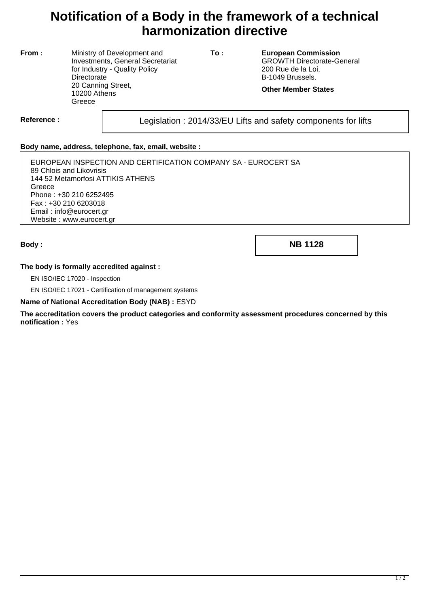# **Notification of a Body in the framework of a technical harmonization directive**

**From :** Ministry of Development and Investments, General Secretariat for Industry - Quality Policy **Directorate** 20 Canning Street, 10200 Athens **Greece** 

**To : European Commission** GROWTH Directorate-General 200 Rue de la Loi, B-1049 Brussels.

**Other Member States**

Reference : Legislation : 2014/33/EU Lifts and safety components for lifts

### **Body name, address, telephone, fax, email, website :**

EUROPEAN INSPECTION AND CERTIFICATION COMPANY SA - EUROCERT SA 89 Chlois and Likovrisis 144 52 Metamorfosi ATTIKIS ATHENS **Greece** Phone : +30 210 6252495 Fax : +30 210 6203018 Email : info@eurocert.gr Website : www.eurocert.gr

**Body : NB 1128**

#### **The body is formally accredited against :**

EN ISO/IEC 17020 - Inspection

EN ISO/IEC 17021 - Certification of management systems

#### **Name of National Accreditation Body (NAB) :** ESYD

**The accreditation covers the product categories and conformity assessment procedures concerned by this notification :** Yes